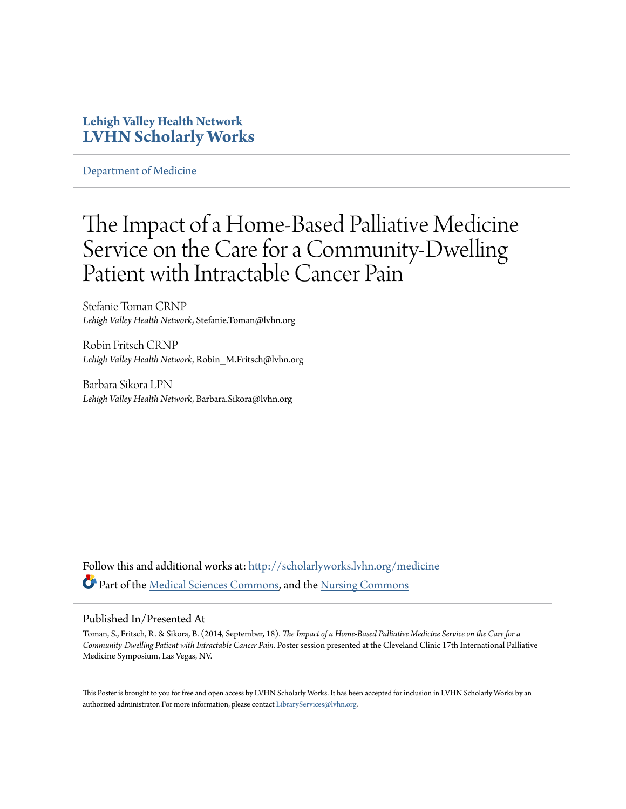#### **Lehigh Valley Health Network [LVHN Scholarly Works](http://scholarlyworks.lvhn.org?utm_source=scholarlyworks.lvhn.org%2Fmedicine%2F487&utm_medium=PDF&utm_campaign=PDFCoverPages)**

[Department of Medicine](http://scholarlyworks.lvhn.org/medicine?utm_source=scholarlyworks.lvhn.org%2Fmedicine%2F487&utm_medium=PDF&utm_campaign=PDFCoverPages)

#### The Impact of a Home-Based Palliative Medicine Service on the Care for a Community-Dwelling Patient with Intractable Cancer Pain

Stefanie Toman CRNP *Lehigh Valley Health Network*, Stefanie.Toman@lvhn.org

Robin Fritsch CRNP *Lehigh Valley Health Network*, Robin\_M.Fritsch@lvhn.org

Barbara Sikora LPN *Lehigh Valley Health Network*, Barbara.Sikora@lvhn.org

Follow this and additional works at: [http://scholarlyworks.lvhn.org/medicine](http://scholarlyworks.lvhn.org/medicine?utm_source=scholarlyworks.lvhn.org%2Fmedicine%2F487&utm_medium=PDF&utm_campaign=PDFCoverPages) Part of the [Medical Sciences Commons,](http://network.bepress.com/hgg/discipline/664?utm_source=scholarlyworks.lvhn.org%2Fmedicine%2F487&utm_medium=PDF&utm_campaign=PDFCoverPages) and the [Nursing Commons](http://network.bepress.com/hgg/discipline/718?utm_source=scholarlyworks.lvhn.org%2Fmedicine%2F487&utm_medium=PDF&utm_campaign=PDFCoverPages)

#### Published In/Presented At

Toman, S., Fritsch, R. & Sikora, B. (2014, September, 18). *The Impact of a Home-Based Palliative Medicine Service on the Care for a Community-Dwelling Patient with Intractable Cancer Pain.* Poster session presented at the Cleveland Clinic 17th International Palliative Medicine Symposium, Las Vegas, NV.

This Poster is brought to you for free and open access by LVHN Scholarly Works. It has been accepted for inclusion in LVHN Scholarly Works by an authorized administrator. For more information, please contact [LibraryServices@lvhn.org.](mailto:LibraryServices@lvhn.org)